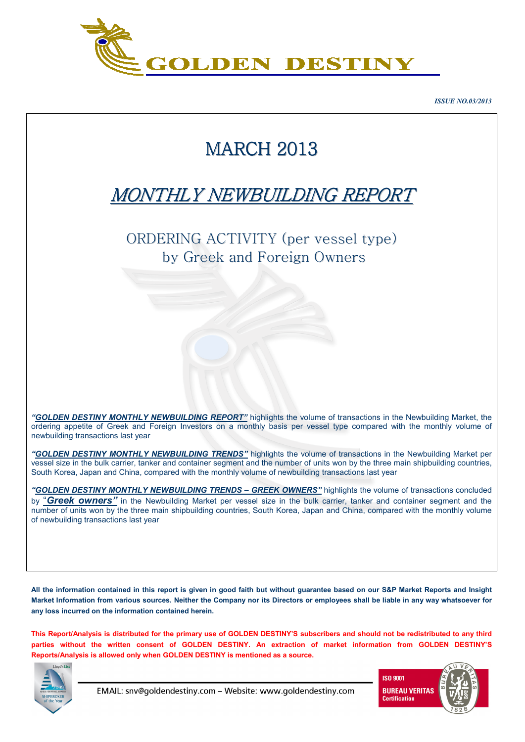

*ISSUE NO.03/2013* 

# MARCH 2013

## MONTHLY NEWBUILDING REPORT

ORDERING ACTIVITY (per vessel type) by Greek and Foreign Owners

*"GOLDEN DESTINY MONTHLY NEWBUILDING REPORT"* highlights the volume of transactions in the Newbuilding Market, the ordering appetite of Greek and Foreign Investors on a monthly basis per vessel type compared with the monthly volume of newbuilding transactions last year

*"GOLDEN DESTINY MONTHLY NEWBUILDING TRENDS"* highlights the volume of transactions in the Newbuilding Market per vessel size in the bulk carrier, tanker and container segment and the number of units won by the three main shipbuilding countries, South Korea, Japan and China, compared with the monthly volume of newbuilding transactions last year

*"GOLDEN DESTINY MONTHLY NEWBUILDING TRENDS – GREEK OWNERS"* highlights the volume of transactions concluded by "*Greek owners"* in the Newbuilding Market per vessel size in the bulk carrier, tanker and container segment and the number of units won by the three main shipbuilding countries, South Korea, Japan and China, compared with the monthly volume of newbuilding transactions last year

**All the information contained in this report is given in good faith but without guarantee based on our S&P Market Reports and Insight Market Information from various sources. Neither the Company nor its Directors or employees shall be liable in any way whatsoever for any loss incurred on the information contained herein.** 

**This Report/Analysis is distributed for the primary use of GOLDEN DESTINY'S subscribers and should not be redistributed to any third parties without the written consent of GOLDEN DESTINY. An extraction of market information from GOLDEN DESTINY'S Reports/Analysis is allowed only when GOLDEN DESTINY is mentioned as a source.** 



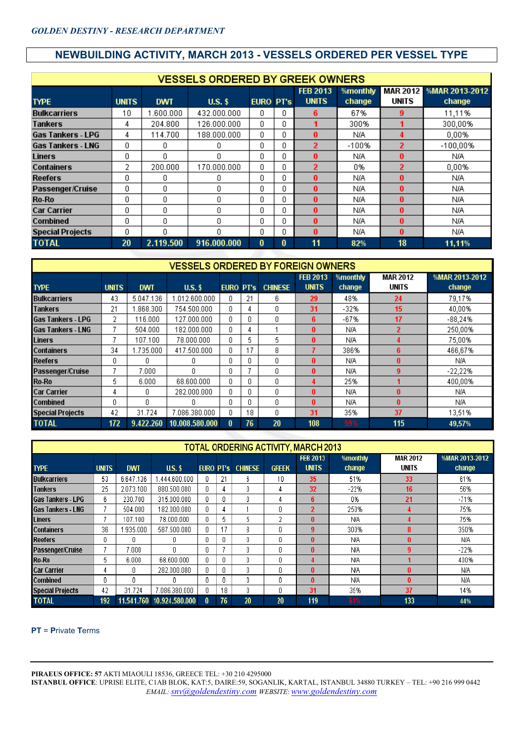## **NEWBUILDING ACTIVITY, MARCH 2013 - VESSELS ORDERED PER VESSEL TYPE**

|                          |              |            | <b>VESSELS ORDERED BY GREEK OWNERS</b> |                  |   |                                 |                    |       |                                   |
|--------------------------|--------------|------------|----------------------------------------|------------------|---|---------------------------------|--------------------|-------|-----------------------------------|
| <b>TYPE</b>              | <b>UNITS</b> | <b>DWT</b> | $U.S.$ \$                              | <b>EURO PT's</b> |   | <b>FEB 2013</b><br><b>UNITS</b> | %monthly<br>change | UNITS | MAR 2012 %MAR 2013-2012<br>change |
| <b>Bulkcarriers</b>      | 10           | 1.600.000  | 432.000.000                            | 0                | ۵ | 6                               | 67%                | 9     | 11,11%                            |
| Tankers                  | 4            | 204.800    | 126.000.000                            | 0                | Ū |                                 | 300%               |       | 300,00%                           |
| <b>Gas Tankers - LPG</b> | 4            | 114.700    | 188,000,000                            | 0                | n | 0                               | N/A                | 4     | 0,00%                             |
| <b>Gas Tankers - LNG</b> | 0            | n          | 0                                      | 0                | n | 2                               | $-100%$            | 2     | $-100,00%$                        |
| <b>Liners</b>            | 0            | 0          | 0                                      | 0                | Ω | 0                               | N/A                | 0     | N/A                               |
| <b>Containers</b>        | 2            | 200.000    | 170.000.000                            | 0                | 0 | 2                               | 0%                 | 2     | 0.00%                             |
| <b>Reefers</b>           | n            | n          | 0                                      | 0                | n | 0                               | N/A                | 0     | N/A                               |
| Passenger/Cruise         | 0            | 0.         | 0                                      | 0                | Ω | 0                               | N/A                | 0     | N/A                               |
| <b>Ro-Ro</b>             | 0            | 0          | 0                                      | 0                | ۵ | 0                               | N/A                | 0     | N/A                               |
| <b>Car Carrier</b>       | 0            | 0          | 0                                      | 0                | n | 0                               | N/A                | 0     | N/A.                              |
| Combined                 | 0            | n          | 0                                      | Ω                | n | 0                               | N/A                | 0     | N/A                               |
| <b>Special Projects</b>  | 0            | 0          | 0                                      | 0                | ۵ | 0                               | N/A                | 0     | N/A.                              |
| <b>TOTAL</b>             | 20           | 2.119.500  | 916.000.000                            | 0                | 0 | 11                              | 82%                | 18    | 11,11%                            |

|                          |              |            | <b>VESSELS ORDERED BY FOREIGN OWNERS</b> |                  |    |                |                                 |                    |                          |                          |
|--------------------------|--------------|------------|------------------------------------------|------------------|----|----------------|---------------------------------|--------------------|--------------------------|--------------------------|
| <b>TYPE</b>              | <b>UNITS</b> | <b>DWT</b> | $U.S.$ \$                                | <b>EURO PT's</b> |    | <b>CHINESE</b> | <b>FEB 2013</b><br><b>UNITS</b> | %monthly<br>change | <b>MAR 2012</b><br>UNITS | %MAR 2013-2012<br>change |
| <b>Bulkcarriers</b>      | 43           | 5.047.136  | 1.012.600.000                            | n                | 21 | 6.             | 29                              | 48%                | 24                       | 79.17%                   |
| Tankers                  | 21           | .868.300   | 754.500.000                              | 0                | 4  | 0              | 31                              | $-32%$             | 15                       | 40,00%                   |
| <b>Gas Tankers - LPG</b> | 2            | 116,000    | 127.000.000                              | 0                | Ω  | 0              | 6                               | $-67%$             | 17                       | $-88,24%$                |
| <b>Gas Tankers - LNG</b> |              | 504.000    | 182.000.000                              | 0                | 4  |                | 0                               | N/A                | 2                        | 250,00%                  |
| <b>Liners</b>            |              | 107.100    | 78.000.000                               | 0                | 5  | 5              | 0                               | N/A                |                          | 75,00%                   |
| <b>Containers</b>        | 34           | 1.735.000  | 417.500.000                              | 0                | 17 | 8              |                                 | 386%               | 6                        | 466,67%                  |
| <b>Reefers</b>           | 0            | n.         | 0.                                       | 0                | Ο  | f.             | $\mathbf{0}$                    | N/A                | n                        | N/A                      |
| Passenger/Cruise         |              | 7.000      | n                                        | ſ                |    | 0              | 0                               | N/A                | 9                        | $-22.22%$                |
| Ro-Ro                    | 5            | 6.000      | 68,600,000                               | 0                | 0  | n              | л                               | 25%                |                          | 400,00%                  |
| <b>Car Carrier</b>       | 4            | n          | 282.000.000                              | 0                | Ω  | n              | $\mathbf{0}$                    | N/A                | 0                        | N/A                      |
| <b>Combined</b>          | Ω            | n          | n                                        | O                | Ω  | $\Box$         | $\mathbf{0}$                    | N/A                | n                        | N/A                      |
| <b>Special Projects</b>  | 42           | 31.724     | 7.086.380.000                            | 0                | 18 | 0              | 31                              | 35%                | 37                       | 13,51%                   |
| <b>TOTAL</b>             | 172          | 9.422.260  | 10.008.580.000                           | $\bf{0}$         | 76 | 20             | 108                             | 59%                | 115                      | 49,57%                   |

|                          |              |            |                |                  |    |                |              | <b>TOTAL ORDERING ACTIVITY, MARCH 2013</b> |                           |                   |                          |
|--------------------------|--------------|------------|----------------|------------------|----|----------------|--------------|--------------------------------------------|---------------------------|-------------------|--------------------------|
| <b>TYPE</b>              | <b>UNITS</b> | <b>DWT</b> | $U.S.$ \$      | <b>EURO PT's</b> |    | <b>CHINESE</b> | <b>GREEK</b> | <b>FEB 2013</b><br><b>UNITS</b>            | <b>%monthly</b><br>change | MAR 2012<br>UNITS | %MAR 2013-2012<br>change |
| <b>Bulkcarriers</b>      | 53           | 6.647.136  | .444.600.000   | O                | 21 | 6.             | 10           | 35                                         | 51%                       | 33                | 61%                      |
| <b>Tankers</b>           | 25           | 2.073.100  | 880,500,000    | 0                | 4  | 0              | 4            | 32                                         | $-22%$                    | 16                | 56%                      |
| <b>Gas Tankers - LPG</b> | 6.           | 230.700    | 315.000.000    | 0                | 0  | Ū.             | 4            | 6                                          | 0%                        | 21                | $-71%$                   |
| Gas Tankers - LNG        |              | 504.000    | 182.000.000    | 0                | 4  |                | O            | $\overline{2}$                             | 250%                      |                   | 75%                      |
| <b>Liners</b>            |              | 107.100    | 78.000.000     | 0                | 5  | 5.             | 2            | 0                                          | N/A                       |                   | 75%                      |
| <b>Containers</b>        | 36           | .935.000   | 587.500.000    | 0                | 17 | 8              | 0            | 9                                          | 300%                      | 8                 | 350%                     |
| <b>Reefers</b>           | 0            | n          | n.             | 0                | Л  | Ū.             | 0            | 0                                          | N/A                       | n                 | N/A                      |
| Passenger/Cruise         |              | 7.000      | n              | 0                |    | 0              | ۵            | $\mathbf{0}$                               | N/A                       | 9                 | $-22%$                   |
| Ro-Ro                    | 5.           | 6.000      | 68,600,000     | 0                |    | 0              | 0            |                                            | N/A                       |                   | 400%                     |
| <b>Car Carrier</b>       | 4            | 0          | 282.000.000    | 0                | ſ  | 0              | 0            | $\bf{0}$                                   | N/A                       | 0                 | N/A                      |
| <b>Combined</b>          | 0            | n          | Ω              | 0                |    | Ū.             | 0            | 0                                          | N/A                       | 0                 | <b>N/A</b>               |
| <b>Special Projects</b>  | 42           | 31.724     | 7.086.380.000  | 0                | 18 | 0              | 0            | 31                                         | 35%                       | 37                | 14%                      |
| <b>TOTAL</b>             | 192          | 11.541.760 | 10.924.580.000 | 0                | 76 | 20             | 20           | 119                                        | 61%                       | 133               | 44%                      |

#### **PT** = **P**rivate **T**erms

**PIRAEUS OFFICE: 57** AKTI MIAOULI 18536, GREECE TEL: +30 210 4295000 **ISTANBUL OFFICE**: UPRISE ELITE, C1AB BLOK, KAT:5, DAIRE:59, SOGANLIK, KARTAL, ISTANBUL 34880 TURKEY – TEL: +90 216 999 0442 *EMAIL: snv@goldendestiny.com WEBSITE*: *www.goldendestiny.com*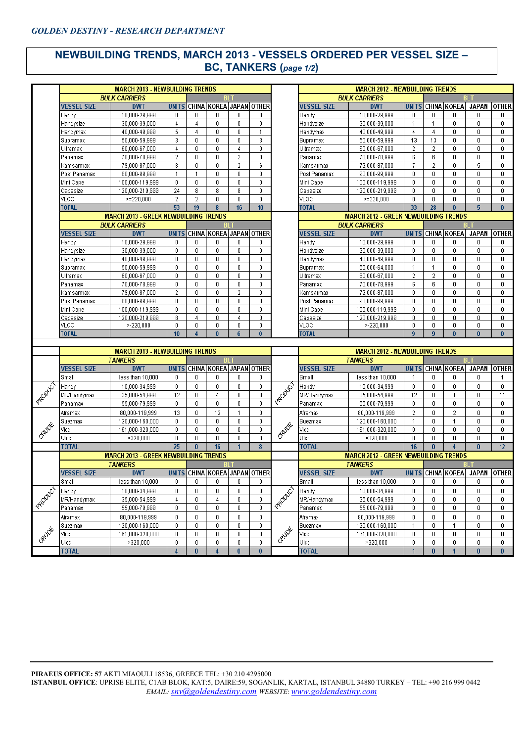### **NEWBUILDING TRENDS, MARCH 2013 - VESSELS ORDERED PER VESSEL SIZE – BC, TANKERS (***page 1/2***)**

|                |                    | <b>MARCH 2013 - NEWBUILDING TRENDS</b>                   |                 |                |                               |                 |              |           |                    | <b>MARCH 2012 - NEWBUILDING TRENDS</b>                   |                |                  |                    |                               |                  |
|----------------|--------------------|----------------------------------------------------------|-----------------|----------------|-------------------------------|-----------------|--------------|-----------|--------------------|----------------------------------------------------------|----------------|------------------|--------------------|-------------------------------|------------------|
|                |                    | <b>BULK CARRIERS</b>                                     |                 |                | BI 1                          |                 |              |           |                    | <b>BULK CARRIERS</b>                                     |                |                  |                    | BI T                          |                  |
|                | <b>VESSEL SIZE</b> | <b>DWT</b>                                               | <b>UNITS</b>    |                | CHINA KOREA JAPAN OTHER       |                 |              |           | <b>VESSEL SIZE</b> | <b>DWT</b>                                               |                |                  | UNITS CHINA KOREA  | JAPAN                         | <b>OTHER</b>     |
|                | Handy              | 10.000-29.999                                            | 0               | $\mathbf{0}$   | 0                             | 0               | 0            |           | Handy              | 10,000-29,999                                            | $\mathbf{0}$   | $\mathbf 0$      | 0                  | 0                             | 0                |
|                | Handysize          | 30,000-39,000                                            | 4               | $\overline{4}$ | $\mathbf 0$                   | 0               | 0            |           | Handysize          | 30,000-39,000                                            | $\overline{1}$ | $\mathbf{1}$     | 0                  | 0                             | 0                |
|                | Handymax           | 40,000-49,999                                            | 5               | 4              | 0                             | 0               | 1            |           | Handymax           | 40,000-49,999                                            | 4              | $\overline{4}$   | $\mathbf 0$        | $\mathbf 0$                   | $\mathbf 0$      |
|                | Supramax           | 50,000-59,999                                            | 3               | $\mathbf 0$    | $\theta$                      | 0               | 3            |           | Supramax           | 50,000-59,999                                            | 13             | 13               | $\mathbf 0$        | 0                             | $\boldsymbol{0}$ |
|                | Ultramax           | 60,000-67,000                                            | 4               | 0              | 0                             | 4               | $\mathbf 0$  |           | Ultramax           | 60,000-67,000                                            | $\overline{2}$ | $\overline{2}$   | 0                  | 0                             | 0                |
|                | Panamax            | 70,000-78,999                                            | $\sqrt{2}$      | $\mathbf 0$    | $\boldsymbol{0}$              | $\overline{2}$  | 0            |           | Panamax            | 70,000-78,999                                            | 6              | 6                | 0                  | 0                             | $\mathbf 0$      |
|                | Kamsarmax          | 79,000-87,000                                            | 8               | $\mathbf{0}$   | $\boldsymbol{0}$              | $\overline{2}$  | 6            |           | Kamsarmax          | 79,000-87,000                                            | $\overline{I}$ | $\overline{2}$   | 0                  | 5                             | $\boldsymbol{0}$ |
|                | Post Panamax       | 90,000-99,999                                            | $\mathbf{1}$    | $\mathbf{1}$   | $\overline{0}$                | 0               | 0            |           | Post Panamax       | 90,000-99,999                                            | $\mathbf 0$    | $\theta$         | 0                  | 0                             | 0                |
|                | Mini Cape          | 100,000-119,999                                          | $\mathbf 0$     | $\mathbf 0$    | $\overline{0}$                | 0               | $\mathbf 0$  |           | Mini Cape          | 100,000-119,999                                          | 0              | $\mathbf 0$      | 0                  | $\mathbf 0$                   | 0                |
|                | Capesize           | 120,000-219,999                                          | 24              | 8              | 8                             | 8               | 0            |           | Capesize           | 120,000-219,999                                          | 0              | $\mathbf 0$      | 0                  | 0                             | 0                |
|                | VLOC               | $>= 220,000$                                             | $\overline{2}$  | 2              | $\boldsymbol{0}$              | 0               | 0            |           | <b>VLOC</b>        | $>= 220,000$                                             | $\mathbf 0$    | $\theta$         | 0                  | 0                             | 0                |
|                | <b>TOTAL</b>       |                                                          | 53              | 19             | 8                             | 16              | 10           |           | <b>TOTAL</b>       |                                                          | 33             | 28               | $\bf{0}$           | $\overline{5}$                | $\bf{0}$         |
|                |                    | <b>MARCH 2013 - GREEK NEWBUILDING TRENDS</b>             |                 |                |                               |                 |              |           |                    | <b>MARCH 2012 - GREEK NEWBUILDING TRENDS</b>             |                |                  |                    |                               |                  |
|                |                    | <b>BULK CARRIERS</b>                                     |                 |                |                               |                 |              |           |                    | <b>BULK CARRIERS</b>                                     |                |                  |                    |                               |                  |
|                | <b>VESSEL SIZE</b> | <b>DWT</b>                                               | <b>UNITS</b>    |                | CHINA KOREA JAPAN OTHER       |                 |              |           | <b>VESSEL SIZE</b> | <b>DWT</b>                                               | <b>UNITS</b>   |                  | <b>CHINA KOREA</b> | <b>JAPAN</b>                  | <b>OTHER</b>     |
|                | Handy              | 10,000-29,999                                            | 0               | 0              | 0                             | 0               | 0            |           | Handy              | 10,000-29,999                                            | 0              | 0                | 0                  | 0                             | 0                |
|                | Handysize          | 30,000-39,000                                            | $\mathbf 0$     | $\mathbf 0$    | $\mathbf 0$                   | 0               | $\mathbf 0$  |           | Handysize          | 30,000-39,000                                            | $\mathbf 0$    | $\mathbf 0$      | $\mathbf 0$        | $\mathbf{0}$                  | $\mathbf 0$      |
|                | Handymax           | 40,000-49,999                                            | 0               | 0              | $\mathbf{0}$                  | 0               | 0            |           | Handymax           | 40,000-49,999                                            | 0              | $\mathbf 0$      | 0                  | 0                             | 0                |
|                | Supramax           | 50,000-59,999                                            | $\theta$        | $\mathbf 0$    | $\mathbf 0$                   | 0               | 0            |           | Supramax           | 50,000-64,000                                            | $\mathbf{1}$   | $\mathbf{1}$     | 0                  | $\mathbf 0$                   | 0                |
|                | Ultramax           | 60,000-67,000                                            | 0               | $\mathbf 0$    | 0                             | 0               | 0            |           | Ultramax           | 60,000-67,000                                            | $\overline{2}$ | $\overline{2}$   | 0                  | 0                             | 0                |
|                | Panamax            | 70,000-78,999                                            | 0               | 0              | $\boldsymbol{0}$              | 0               | 0            |           | Panamax            | 70,000-78,999                                            | 6              | 6                | $\boldsymbol{0}$   | 0                             | $\,0\,$          |
|                | Kamsarmax          | 79,000-87,000                                            | $\overline{2}$  | $\mathbf 0$    | $\mathbf 0$                   | $\overline{2}$  | 0            |           | Kamsarmax          | 79,000-87,000                                            | 0              | $\mathbf 0$      | $\mathbf 0$        | 0                             | 0                |
|                | Post Panamax       | 90,000-99,999                                            | $\mathbf 0$     | $\mathbf 0$    | $\mathbf 0$                   | 0               | $\mathbf 0$  |           | Post Panamax       | 90,000-99,999                                            | $\mathbf 0$    | $\mathbf 0$      | $\mathbf 0$        | 0                             | $\mathbf 0$      |
|                | Mini Cape          | 100,000-119,999                                          | 0               | 0              | 0                             | 0               | 0            |           | Mini Cape          | 100,000-119,999                                          | 0              | $\boldsymbol{0}$ | $\mathbf 0$        | 0                             | 0                |
|                | Capesize           | 120,000-219,999                                          | 8               | 4              | 0                             | 4               | 0            |           | Capesize           | 120,000-219,999                                          | $\mathbf 0$    | $\theta$         | 0                  | $\mathbf 0$                   | $\boldsymbol{0}$ |
|                | VLOC               | $* - 220,000$                                            | 0               | $\mathbf 0$    | $\mathbf 0$                   | 0               | 0            |           | <b>VLOC</b>        | $* - 220,000$                                            | 0              | $\mathbf 0$      | 0                  | 0                             | 0                |
|                | <b>TOTAL</b>       |                                                          | 10 <sup>1</sup> | $\overline{4}$ | $\bf{0}$                      | $6\overline{6}$ | $\bf{0}$     |           | <b>TOTAL</b>       |                                                          | 9              | $\overline{9}$   | $\bf{0}$           | $\bf{0}$                      | $\bf{0}$         |
|                |                    |                                                          |                 |                |                               |                 |              |           |                    |                                                          |                |                  |                    |                               |                  |
|                |                    | <b>MARCH 2013 - NEWBUILDING TRENDS</b><br><b>TANKERS</b> |                 |                | BL <sub>1</sub>               |                 |              |           |                    | <b>MARCH 2012 - NEWBUILDING TRENDS</b><br><b>TANKERS</b> |                |                  |                    | <b>BLT</b>                    |                  |
|                | <b>VESSEL SIZE</b> | <b>DWT</b>                                               | <b>UNITS</b>    |                | CHINA KOREA JAPAN OTHER       |                 |              |           | <b>VESSEL SIZE</b> | <b>DWT</b>                                               |                |                  | UNITS CHINA KOREA  | JAPAN OTHER                   |                  |
|                |                    |                                                          | 0               | $\mathbf{0}$   | 0                             | 0               | 0            |           | Small              |                                                          | $\overline{1}$ | $\mathbf 0$      | $\mathbf{0}$       | 0.                            |                  |
|                | Small              | less than 10,000                                         |                 |                |                               |                 |              |           |                    | less than 10,000                                         |                |                  |                    |                               | $\overline{1}$   |
|                | Handy              | 10,000-34,999                                            | 0               | $\mathbf 0$    | $\mathbf 0$                   | 0               | 0            |           | Handy              | 10,000-34,999                                            | $\mathbf 0$    | $\theta$         | 0                  | $\mathbf{0}$                  | 0                |
| FROWLET        | MR/Handymax        | 35,000-54,999                                            | 12              | $\mathbf 0$    | 4                             | 0               | 8            | Feodor    | MR/Handymax        | 35,000-54,999                                            | 12             | $\boldsymbol{0}$ | 1                  | 0                             | 11               |
|                | Panamax            | 55,000-79,999                                            | $\,0\,$         | $\mathbf 0$    | $\mathbf 0$                   | 0               | 0            |           | Panamax            | 55,000-79,999                                            | 0              | $\mathbf 0$      | $\mathbf 0$        | 0                             | 0                |
|                | Aframax            | 80,000-119,999                                           | 13              | $\mathbf 0$    | 12                            | 1               | $\mathbf 0$  |           | Aframax            | 80,000-119,999                                           | $\overline{2}$ | $\mathbf 0$      | $\overline{2}$     | 0                             | 0                |
|                | Suezmax            | 120,000-160,000                                          | 0               | $\mathbf 0$    | 0                             | 0               | 0            |           | Suezmax            | 120,000-160,000                                          | $\overline{1}$ | $\mathbf 0$      | $\mathbf{1}$       | 0                             | 0                |
| OPUDE          | Vicc               | 161,000-320,000                                          | 0               | $\mathbf{0}$   | $\boldsymbol{0}$              | 0               | $\mathbf 0$  | ORUDE     | Vicc               | 161,000-320,000                                          | 0              | $\mathbf 0$      | $\mathbf 0$        | $\mathbf{0}$                  | $\mathbf 0$      |
|                | Ulcc               | >320,000                                                 | 0               | $\mathbf 0$    | $\mathbf 0$                   | 0               | 0            |           | Ulcc               | >320,000                                                 | 0              | $\mathbf 0$      | 0                  | 0                             | 0                |
|                | <b>TOTAL</b>       |                                                          | 25              | $\mathbf{0}$   | 16                            |                 | 8            |           | <b>TOTAL</b>       |                                                          | 16             | $\bf{0}$         |                    | $\bf{0}$                      | 12               |
|                |                    | <b>MARCH 2013 - GREEK NEWBUILDING TRENDS</b>             |                 |                |                               |                 |              |           |                    | <b>MARCH 2012 - GREEK NEWBUILDING TRENDS</b>             |                |                  |                    |                               |                  |
|                |                    | <b>TANKERS</b>                                           |                 |                |                               |                 |              |           |                    | <b>TANKERS</b>                                           |                |                  |                    |                               |                  |
|                | <b>VESSEL SIZE</b> | <b>DWT</b>                                               |                 |                | UNITS CHINA KOREA JAPAN OTHER |                 |              |           | <b>VESSEL SIZE</b> | <b>DWT</b>                                               |                |                  |                    | UNITS CHINA KOREA JAPAN OTHER |                  |
|                | Small              | less than 10,000                                         | 0               | 0              | 0                             | 0               | 0            |           | Small              | less than 10,000                                         | 0              | $\boldsymbol{0}$ | 0                  | 0                             | 0                |
| <b>PRODUCT</b> | Handy              | 10,000-34,999                                            | 0               | $\mathbf{0}$   | 0                             | 0               | 0            | SECONDS , | Handy              | 10,000-34,999                                            | 0              | $\theta$         | 0                  | 0                             | 0                |
|                | MR/Handymax        | 35,000-54,999                                            | 4               | 0              | 4                             | 0               | 0            |           | MR/Handymax        | 35,000-54,999                                            | 0              | 0                | 0                  | 0                             | 0                |
|                | Panamax            | 55,000-79,999                                            | 0               | 0              | 0                             | 0               | 0            |           | Panamax            | 55,000-79,999                                            | 0              | 0                | 0                  | 0                             | 0                |
|                | Aframax            | 80,000-119,999                                           | 0               | $\mathbf 0$    | 0                             | 0               | $\mathbf{0}$ |           | Aframax            | 80,000-119,999                                           | 0              | 0                | 0                  | 0                             | 0                |
|                | Suezmax            | 120,000-160,000                                          | 0               | 0              | 0                             | 0               | 0            |           | Suezmax            | 120,000-160,000                                          | -1             | $\mathbf 0$      | 1                  | 0                             | 0                |
|                | Vicc               | 161,000-320,000                                          | 0               | 0              | 0                             | 0               | 0            | OPUDE     | Vicc               | 161,000-320,000                                          | 0              | $\mathbf 0$      | 0                  | 0                             | 0                |
| <b>SRUDE</b>   | Ulcc               | >320,000                                                 | 0               | 0              | 0                             | 0               | 0            |           | Ulcc               | >320,000                                                 | 0              | $\mathbf 0$      | 0                  | 0                             | 0                |
|                | <b>TOTAL</b>       |                                                          | $\overline{4}$  | $\bf{0}$       | $\overline{4}$                | $\bf{0}$        | $\bf{0}$     |           | <b>TOTAL</b>       |                                                          |                | $\bf{0}$         |                    | $\bf{0}$                      | $\bf{0}$         |
|                |                    |                                                          |                 |                |                               |                 |              |           |                    |                                                          |                |                  |                    |                               |                  |

**PIRAEUS OFFICE: 57** AKTI MIAOULI 18536, GREECE TEL: +30 210 4295000 **ISTANBUL OFFICE**: UPRISE ELITE, C1AB BLOK, KAT:5, DAIRE:59, SOGANLIK, KARTAL, ISTANBUL 34880 TURKEY – TEL: +90 216 999 0442 *EMAIL: snv@goldendestiny.com WEBSITE*: *www.goldendestiny.com*